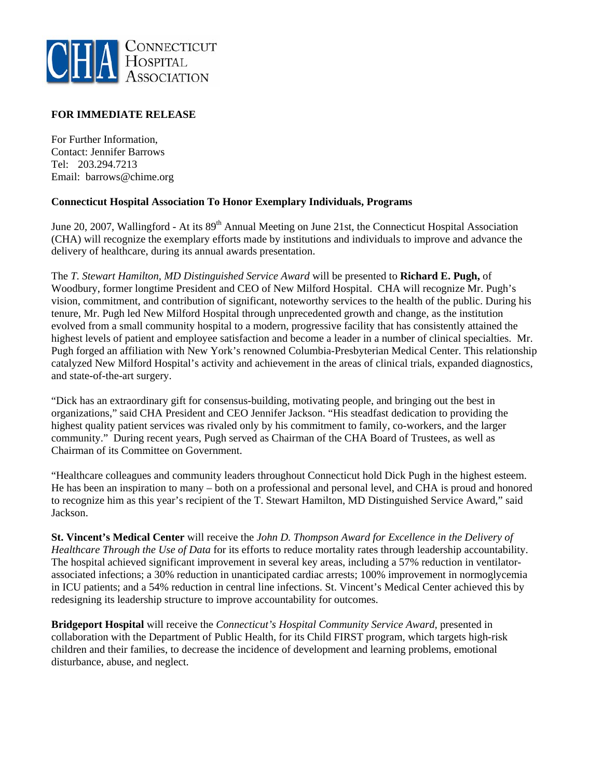

## **FOR IMMEDIATE RELEASE**

For Further Information, Contact: Jennifer Barrows Tel: 203.294.7213 Email: barrows@chime.org

## **Connecticut Hospital Association To Honor Exemplary Individuals, Programs**

June 20, 2007, Wallingford - At its 89<sup>th</sup> Annual Meeting on June 21st, the Connecticut Hospital Association (CHA) will recognize the exemplary efforts made by institutions and individuals to improve and advance the delivery of healthcare, during its annual awards presentation.

The *T. Stewart Hamilton, MD Distinguished Service Award* will be presented to **Richard E. Pugh,** of Woodbury, former longtime President and CEO of New Milford Hospital. CHA will recognize Mr. Pugh's vision, commitment, and contribution of significant, noteworthy services to the health of the public. During his tenure, Mr. Pugh led New Milford Hospital through unprecedented growth and change, as the institution evolved from a small community hospital to a modern, progressive facility that has consistently attained the highest levels of patient and employee satisfaction and become a leader in a number of clinical specialties. Mr. Pugh forged an affiliation with New York's renowned Columbia-Presbyterian Medical Center. This relationship catalyzed New Milford Hospital's activity and achievement in the areas of clinical trials, expanded diagnostics, and state-of-the-art surgery.

"Dick has an extraordinary gift for consensus-building, motivating people, and bringing out the best in organizations," said CHA President and CEO Jennifer Jackson. "His steadfast dedication to providing the highest quality patient services was rivaled only by his commitment to family, co-workers, and the larger community." During recent years, Pugh served as Chairman of the CHA Board of Trustees, as well as Chairman of its Committee on Government.

"Healthcare colleagues and community leaders throughout Connecticut hold Dick Pugh in the highest esteem. He has been an inspiration to many – both on a professional and personal level, and CHA is proud and honored to recognize him as this year's recipient of the T. Stewart Hamilton, MD Distinguished Service Award," said Jackson.

**St. Vincent's Medical Center** will receive the *John D. Thompson Award for Excellence in the Delivery of Healthcare Through the Use of Data* for its efforts to reduce mortality rates through leadership accountability. The hospital achieved significant improvement in several key areas, including a 57% reduction in ventilatorassociated infections; a 30% reduction in unanticipated cardiac arrests; 100% improvement in normoglycemia in ICU patients; and a 54% reduction in central line infections. St. Vincent's Medical Center achieved this by redesigning its leadership structure to improve accountability for outcomes.

**Bridgeport Hospital** will receive the *Connecticut's Hospital Community Service Award,* presented in collaboration with the Department of Public Health, for its Child FIRST program, which targets high-risk children and their families, to decrease the incidence of development and learning problems, emotional disturbance, abuse, and neglect.